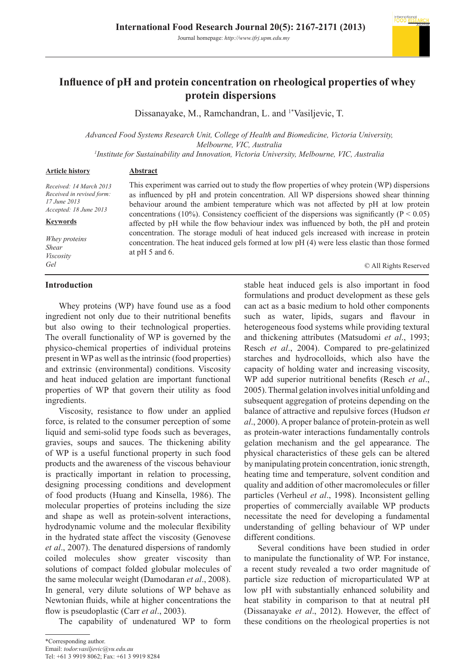

# **Influence of pH and protein concentration on rheological properties of whey protein dispersions**

Dissanayake, M., Ramchandran, L. and <sup>1\*</sup>Vasiljevic, T.

*Advanced Food Systems Research Unit, College of Health and Biomedicine, Victoria University, Melbourne, VIC, Australia*

*1 Institute for Sustainability and Innovation, Victoria University, Melbourne, VIC, Australia*

#### **Article history**

*Received: 14 March 2013 Received in revised form: 17 June 2013 Accepted: 18 June 2013*

#### **Keywords**

*Whey proteins Shear Viscosity Gel*

# **Introduction**

Whey proteins (WP) have found use as a food ingredient not only due to their nutritional benefits but also owing to their technological properties. The overall functionality of WP is governed by the physico-chemical properties of individual proteins present in WP as well as the intrinsic (food properties) and extrinsic (environmental) conditions. Viscosity and heat induced gelation are important functional properties of WP that govern their utility as food ingredients.

**Abstract**

Viscosity, resistance to flow under an applied force, is related to the consumer perception of some liquid and semi-solid type foods such as beverages, gravies, soups and sauces. The thickening ability of WP is a useful functional property in such food products and the awareness of the viscous behaviour is practically important in relation to processing, designing processing conditions and development of food products (Huang and Kinsella, 1986). The molecular properties of proteins including the size and shape as well as protein-solvent interactions, hydrodynamic volume and the molecular flexibility in the hydrated state affect the viscosity (Genovese *et al*., 2007). The denatured dispersions of randomly coiled molecules show greater viscosity than solutions of compact folded globular molecules of the same molecular weight (Damodaran *et al*., 2008). In general, very dilute solutions of WP behave as Newtonian fluids, while at higher concentrations the flow is pseudoplastic (Carr *et al*., 2003).

The capability of undenatured WP to form

This experiment was carried out to study the flow properties of whey protein (WP) dispersions as influenced by pH and protein concentration. All WP dispersions showed shear thinning behaviour around the ambient temperature which was not affected by pH at low protein concentrations (10%). Consistency coefficient of the dispersions was significantly ( $P < 0.05$ ) affected by pH while the flow behaviour index was influenced by both, the pH and protein concentration. The storage moduli of heat induced gels increased with increase in protein concentration. The heat induced gels formed at low pH (4) were less elastic than those formed at pH 5 and 6.

© All Rights Reserved

stable heat induced gels is also important in food formulations and product development as these gels can act as a basic medium to hold other components such as water, lipids, sugars and flavour in heterogeneous food systems while providing textural and thickening attributes (Matsudomi *et al*., 1993; Resch *et al*., 2004). Compared to pre-gelatinized starches and hydrocolloids, which also have the capacity of holding water and increasing viscosity, WP add superior nutritional benefits (Resch *et al*., 2005). Thermal gelation involves initial unfolding and subsequent aggregation of proteins depending on the balance of attractive and repulsive forces (Hudson *et al*., 2000). A proper balance of protein-protein as well as protein-water interactions fundamentally controls gelation mechanism and the gel appearance. The physical characteristics of these gels can be altered by manipulating protein concentration, ionic strength, heating time and temperature, solvent condition and quality and addition of other macromolecules or filler particles (Verheul *et al*., 1998). Inconsistent gelling properties of commercially available WP products necessitate the need for developing a fundamental understanding of gelling behaviour of WP under different conditions.

Several conditions have been studied in order to manipulate the functionality of WP. For instance, a recent study revealed a two order magnitude of particle size reduction of microparticulated WP at low pH with substantially enhanced solubility and heat stability in comparison to that at neutral pH (Dissanayake *et al*., 2012). However, the effect of these conditions on the rheological properties is not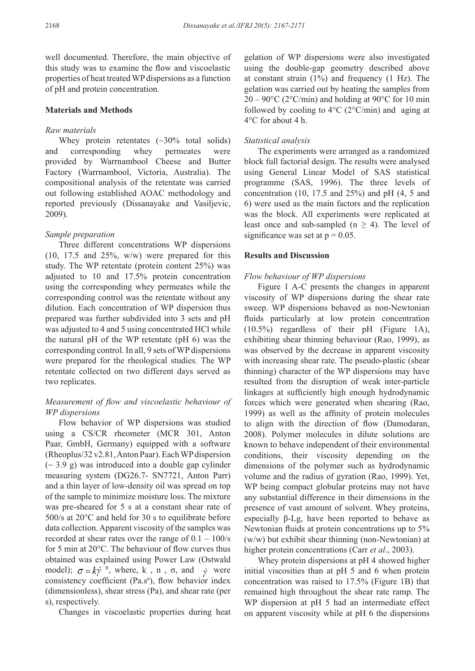well documented. Therefore, the main objective of this study was to examine the flow and viscoelastic properties of heat treated WP dispersions as a function of pH and protein concentration.

## **Materials and Methods**

## *Raw materials*

Whey protein retentates  $(\sim 30\%$  total solids) and corresponding whey permeates were provided by Warrnambool Cheese and Butter Factory (Warrnambool, Victoria, Australia). The compositional analysis of the retentate was carried out following established AOAC methodology and reported previously (Dissanayake and Vasiljevic, 2009).

# *Sample preparation*

Three different concentrations WP dispersions  $(10, 17.5, and 25\%, w/w)$  were prepared for this study. The WP retentate (protein content 25%) was adjusted to 10 and 17.5% protein concentration using the corresponding whey permeates while the corresponding control was the retentate without any dilution. Each concentration of WP dispersion thus prepared was further subdivided into 3 sets and pH was adjusted to 4 and 5 using concentrated HCl while the natural pH of the WP retentate (pH 6) was the corresponding control. In all, 9 sets of WP dispersions were prepared for the rheological studies. The WP retentate collected on two different days served as two replicates.

# *Measurement of flow and viscoelastic behaviour of WP dispersions*

Flow behavior of WP dispersions was studied using a CS/CR rheometer (MCR 301, Anton Paar, GmbH, Germany) equipped with a software (Rheoplus/32 v2.81, Anton Paar). Each WP dispersion  $({\sim} 3.9 \text{ g})$  was introduced into a double gap cylinder measuring system (DG26.7- SN7721, Anton Parr) and a thin layer of low-density oil was spread on top of the sample to minimize moisture loss. The mixture was pre-sheared for 5 s at a constant shear rate of 500/s at 20°C and held for 30 s to equilibrate before data collection. Apparent viscosity of the samples was recorded at shear rates over the range of  $0.1 - 100$ /s for 5 min at 20°C. The behaviour of flow curves thus obtained was explained using Power Law (Ostwald model);  $\sigma = k\dot{\gamma}^n$ , where, k, n, o, and  $\dot{\gamma}$  were consistency coefficient  $(Pa.s<sup>n</sup>)$ , flow behavior index (dimensionless), shear stress (Pa), and shear rate (per s), respectively.

Changes in viscoelastic properties during heat

gelation of WP dispersions were also investigated using the double-gap geometry described above at constant strain (1%) and frequency (1 Hz). The gelation was carried out by heating the samples from  $20 - 90^{\circ}$ C (2°C/min) and holding at 90°C for 10 min followed by cooling to  $4^{\circ}C$  (2 $^{\circ}C/\text{min}$ ) and aging at 4°C for about 4 h.

## *Statistical analysis*

The experiments were arranged as a randomized block full factorial design. The results were analysed using General Linear Model of SAS statistical programme (SAS, 1996). The three levels of concentration (10, 17.5 and 25%) and pH (4, 5 and 6) were used as the main factors and the replication was the block. All experiments were replicated at least once and sub-sampled ( $n \geq 4$ ). The level of significance was set at  $p = 0.05$ .

#### **Results and Discussion**

#### *Flow behaviour of WP dispersions*

Figure 1 A-C presents the changes in apparent viscosity of WP dispersions during the shear rate sweep. WP dispersions behaved as non-Newtonian fluids particularly at low protein concentration (10.5%) regardless of their pH (Figure 1A), exhibiting shear thinning behaviour (Rao, 1999), as was observed by the decrease in apparent viscosity with increasing shear rate. The pseudo-plastic (shear thinning) character of the WP dispersions may have resulted from the disruption of weak inter-particle linkages at sufficiently high enough hydrodynamic forces which were generated when shearing (Rao, 1999) as well as the affinity of protein molecules to align with the direction of flow (Damodaran, 2008). Polymer molecules in dilute solutions are known to behave independent of their environmental conditions, their viscosity depending on the dimensions of the polymer such as hydrodynamic volume and the radius of gyration (Rao, 1999). Yet, WP being compact globular proteins may not have any substantial difference in their dimensions in the presence of vast amount of solvent. Whey proteins, especially β-Lg, have been reported to behave as Newtonian fluids at protein concentrations up to 5% (w/w) but exhibit shear thinning (non-Newtonian) at higher protein concentrations (Carr *et al*., 2003).

Whey protein dispersions at pH 4 showed higher initial viscosities than at pH 5 and 6 when protein concentration was raised to 17.5% (Figure 1B) that remained high throughout the shear rate ramp. The WP dispersion at pH 5 had an intermediate effect on apparent viscosity while at pH 6 the dispersions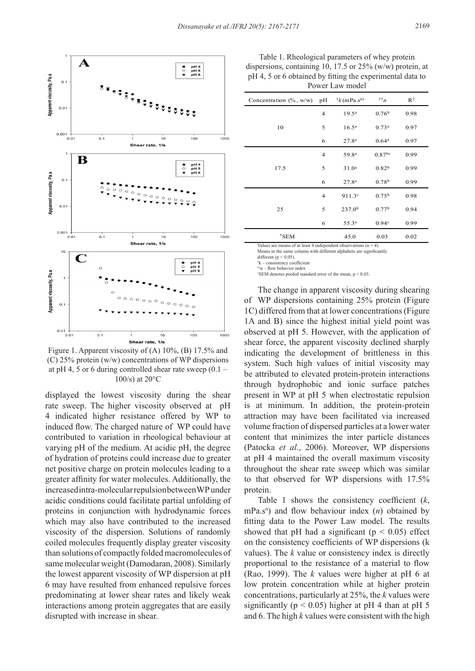

Figure 1. Apparent viscosity of (A) 10%, (B) 17.5% and (C) 25% protein (w/w) concentrations of WP dispersions at pH 4, 5 or 6 during controlled shear rate sweep  $(0.1 -$ 100/s) at 20°C

displayed the lowest viscosity during the shear rate sweep. The higher viscosity observed at pH 4 indicated higher resistance offered by WP to induced flow. The charged nature of WP could have contributed to variation in rheological behaviour at varying pH of the medium. At acidic pH, the degree of hydration of proteins could increase due to greater net positive charge on protein molecules leading to a greater affinity for water molecules. Additionally, the increased intra-molecular repulsion between WP under acidic conditions could facilitate partial unfolding of proteins in conjunction with hydrodynamic forces which may also have contributed to the increased viscosity of the dispersion. Solutions of randomly coiled molecules frequently display greater viscosity than solutions of compactly folded macromolecules of same molecular weight (Damodaran, 2008). Similarly the lowest apparent viscosity of WP dispersion at pH 6 may have resulted from enhanced repulsive forces predominating at lower shear rates and likely weak interactions among protein aggregates that are easily disrupted with increase in shear.

Table 1. Rheological parameters of whey protein dispersions, containing 10, 17.5 or 25% (w/w) protein, at pH 4, 5 or 6 obtained by fitting the experimental data to Power Law model

| Concentration $(\% , w/w)$ | pH | $\dagger k$ (mPa $\mathbf{s}^{\text{n}}$ ) | $^{\dagger\dagger}n$ | R <sup>2</sup> |
|----------------------------|----|--------------------------------------------|----------------------|----------------|
| 10                         | 4  | 19.5 <sup>a</sup>                          | 0.76 <sup>b</sup>    | 0.98           |
|                            | 5  | 16.5 <sup>a</sup>                          | 0.73 <sup>a</sup>    | 0.97           |
|                            | 6  | 27.8 <sup>a</sup>                          | 0.64 <sup>a</sup>    | 0.97           |
| 17.5                       | 4  | 59.8ª                                      | $0.87^{bc}$          | 0.99           |
|                            | 5  | 31.0 <sup>a</sup>                          | 0.82 <sup>b</sup>    | 0.99           |
|                            | 6  | 27.8 <sup>a</sup>                          | 0.78 <sup>b</sup>    | 0.99           |
| 25                         | 4  | 911.3c                                     | 0.75 <sup>b</sup>    | 0.98           |
|                            | 5  | 237.0 <sup>b</sup>                         | 0.77 <sup>b</sup>    | 0.94           |
|                            | 6  | 55.3ª                                      | 0.94c                | 0.99           |
| $^*$ SEM                   |    | 45.0                                       | 0.03                 | 0.02           |

Values are means of at least 4 independent observations  $(n = 4)$ .<br>Means in the same column with different alphabets are significantly

different ( $p < 0.05$ )

† k – consistency coefficient ††n – flow behavior index

\* SEM denotes pooled standard error of the mean, p < 0.05.

The change in apparent viscosity during shearing of WP dispersions containing 25% protein (Figure 1C) differed from that at lower concentrations (Figure 1A and B) since the highest initial yield point was observed at pH 5. However, with the application of shear force, the apparent viscosity declined sharply indicating the development of brittleness in this system. Such high values of initial viscosity may be attributed to elevated protein-protein interactions through hydrophobic and ionic surface patches present in WP at pH 5 when electrostatic repulsion is at minimum. In addition, the protein-protein attraction may have been facilitated via increased volume fraction of dispersed particles at a lower water content that minimizes the inter particle distances (Patocka *et al*., 2006). Moreover, WP dispersions at pH 4 maintained the overall maximum viscosity throughout the shear rate sweep which was similar to that observed for WP dispersions with 17.5% protein.

Table 1 shows the consistency coefficient (*k*,  $mPa.s<sup>n</sup>$ ) and flow behaviour index (*n*) obtained by fitting data to the Power Law model. The results showed that pH had a significant ( $p < 0.05$ ) effect on the consistency coefficients of WP dispersions (k values). The *k* value or consistency index is directly proportional to the resistance of a material to flow (Rao, 1999). The *k* values were higher at pH 6 at low protein concentration while at higher protein concentrations, particularly at 25%, the *k* values were significantly ( $p < 0.05$ ) higher at pH 4 than at pH 5 and 6. The high *k* values were consistent with the high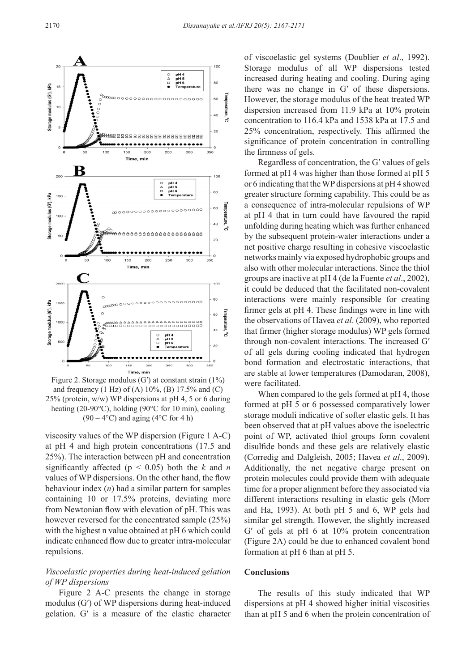

Figure 2. Storage modulus  $(G')$  at constant strain  $(1\%)$ and frequency (1 Hz) of (A)  $10\%$ , (B)  $17.5\%$  and (C) 25% (protein, w/w) WP dispersions at pH 4, 5 or 6 during heating (20-90°C), holding (90°C for 10 min), cooling  $(90 - 4$ °C) and aging  $(4$ °C for 4 h)

viscosity values of the WP dispersion (Figure 1 A-C) at pH 4 and high protein concentrations (17.5 and 25%). The interaction between pH and concentration significantly affected ( $p < 0.05$ ) both the *k* and *n* values of WP dispersions. On the other hand, the flow behaviour index (*n*) had a similar pattern for samples containing 10 or 17.5% proteins, deviating more from Newtonian flow with elevation of pH. This was however reversed for the concentrated sample (25%) with the highest n value obtained at pH 6 which could indicate enhanced flow due to greater intra-molecular repulsions.

# *Viscoelastic properties during heat-induced gelation of WP dispersions*

Figure 2 A-C presents the change in storage modulus (G′) of WP dispersions during heat-induced gelation. G′ is a measure of the elastic character of viscoelastic gel systems (Doublier *et al*., 1992). Storage modulus of all WP dispersions tested increased during heating and cooling. During aging there was no change in G′ of these dispersions. However, the storage modulus of the heat treated WP dispersion increased from 11.9 kPa at 10% protein concentration to 116.4 kPa and 1538 kPa at 17.5 and 25% concentration, respectively. This affirmed the significance of protein concentration in controlling the firmness of gels.

Regardless of concentration, the G′ values of gels formed at pH 4 was higher than those formed at pH 5 or 6 indicating that the WP dispersions at pH 4 showed greater structure forming capability. This could be as a consequence of intra-molecular repulsions of WP at pH 4 that in turn could have favoured the rapid unfolding during heating which was further enhanced by the subsequent protein-water interactions under a net positive charge resulting in cohesive viscoelastic networks mainly via exposed hydrophobic groups and also with other molecular interactions. Since the thiol groups are inactive at pH 4 (de la Fuente *et al*., 2002), it could be deduced that the facilitated non-covalent interactions were mainly responsible for creating firmer gels at pH 4. These findings were in line with the observations of Havea *et al*. (2009), who reported that firmer (higher storage modulus) WP gels formed through non-covalent interactions. The increased G′ of all gels during cooling indicated that hydrogen bond formation and electrostatic interactions, that are stable at lower temperatures (Damodaran, 2008), were facilitated.

When compared to the gels formed at  $pH$  4, those formed at pH 5 or 6 possessed comparatively lower storage moduli indicative of softer elastic gels. It has been observed that at pH values above the isoelectric point of WP, activated thiol groups form covalent disulfide bonds and these gels are relatively elastic (Corredig and Dalgleish, 2005; Havea *et al*., 2009). Additionally, the net negative charge present on protein molecules could provide them with adequate time for a proper alignment before they associated via different interactions resulting in elastic gels (Morr and Ha, 1993). At both pH 5 and 6, WP gels had similar gel strength. However, the slightly increased G′ of gels at pH 6 at 10% protein concentration (Figure 2A) could be due to enhanced covalent bond formation at pH 6 than at pH 5.

#### **Conclusions**

The results of this study indicated that WP dispersions at pH 4 showed higher initial viscosities than at pH 5 and 6 when the protein concentration of